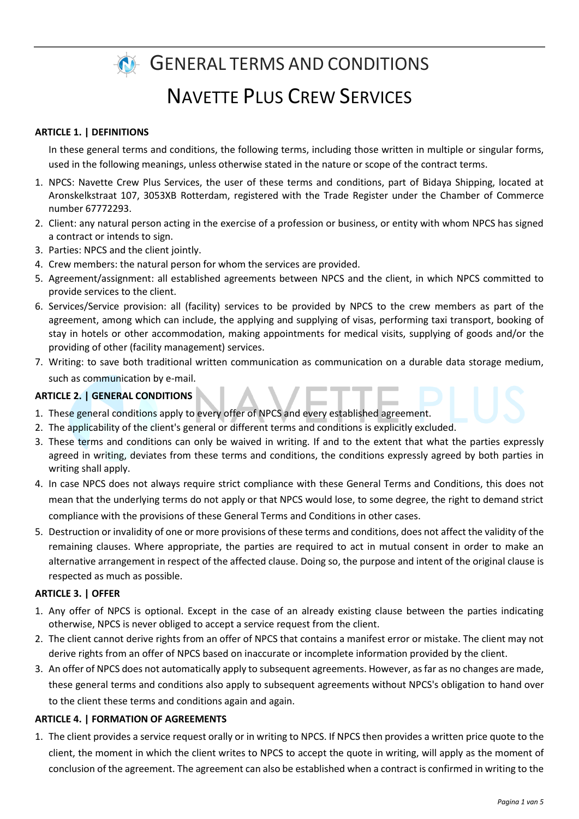

# **GENERAL TERMS AND CONDITIONS**

# NAVETTE PLUS CREW SERVICES

# **ARTICLE 1. | DEFINITIONS**

In these general terms and conditions, the following terms, including those written in multiple or singular forms, used in the following meanings, unless otherwise stated in the nature or scope of the contract terms.

- 1. NPCS: Navette Crew Plus Services, the user of these terms and conditions, part of Bidaya Shipping, located at Aronskelkstraat 107, 3053XB Rotterdam, registered with the Trade Register under the Chamber of Commerce number 67772293.
- 2. Client: any natural person acting in the exercise of a profession or business, or entity with whom NPCS has signed a contract or intends to sign.
- 3. Parties: NPCS and the client jointly.
- 4. Crew members: the natural person for whom the services are provided.
- 5. Agreement/assignment: all established agreements between NPCS and the client, in which NPCS committed to provide services to the client.
- 6. Services/Service provision: all (facility) services to be provided by NPCS to the crew members as part of the agreement, among which can include, the applying and supplying of visas, performing taxi transport, booking of stay in hotels or other accommodation, making appointments for medical visits, supplying of goods and/or the providing of other (facility management) services.
- 7. Writing: to save both traditional written communication as communication on a durable data storage medium, such as communication by e-mail.

# **ARTICLE 2. | GENERAL CONDITIONS**

- 1. These general conditions apply to every offer of NPCS and every established agreement.
- 2. The applicability of the client's general or different terms and conditions is explicitly excluded.
- 3. These terms and conditions can only be waived in writing. If and to the extent that what the parties expressly agreed in writing, deviates from these terms and conditions, the conditions expressly agreed by both parties in writing shall apply.
- 4. In case NPCS does not always require strict compliance with these General Terms and Conditions, this does not mean that the underlying terms do not apply or that NPCS would lose, to some degree, the right to demand strict compliance with the provisions of these General Terms and Conditions in other cases.
- 5. Destruction or invalidity of one or more provisions of these terms and conditions, does not affect the validity of the remaining clauses. Where appropriate, the parties are required to act in mutual consent in order to make an alternative arrangement in respect of the affected clause. Doing so, the purpose and intent of the original clause is respected as much as possible.

#### **ARTICLE 3. | OFFER**

- 1. Any offer of NPCS is optional. Except in the case of an already existing clause between the parties indicating otherwise, NPCS is never obliged to accept a service request from the client.
- 2. The client cannot derive rights from an offer of NPCS that contains a manifest error or mistake. The client may not derive rights from an offer of NPCS based on inaccurate or incomplete information provided by the client.
- 3. An offer of NPCS does not automatically apply to subsequent agreements. However, as far as no changes are made, these general terms and conditions also apply to subsequent agreements without NPCS's obligation to hand over to the client these terms and conditions again and again.

#### **ARTICLE 4. | FORMATION OF AGREEMENTS**

1. The client provides a service request orally or in writing to NPCS. If NPCS then provides a written price quote to the client, the moment in which the client writes to NPCS to accept the quote in writing, will apply as the moment of conclusion of the agreement. The agreement can also be established when a contract is confirmed in writing to the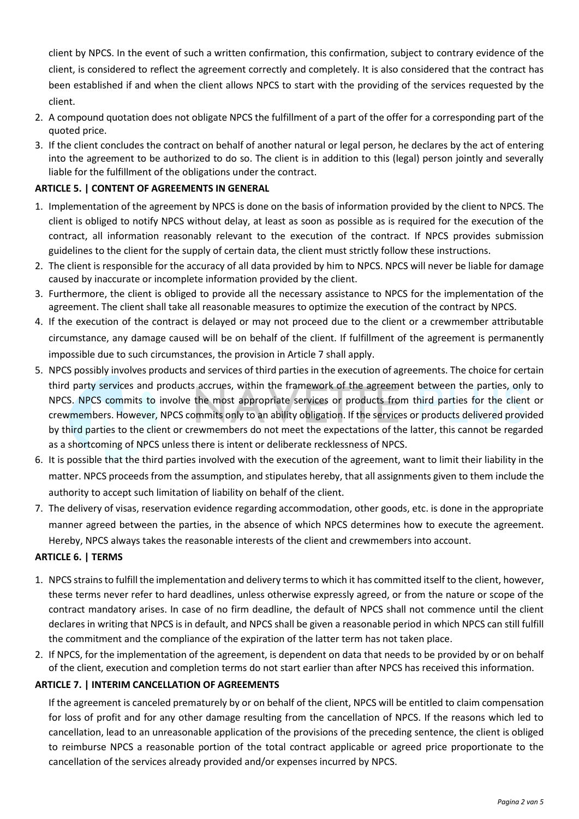client by NPCS. In the event of such a written confirmation, this confirmation, subject to contrary evidence of the client, is considered to reflect the agreement correctly and completely. It is also considered that the contract has been established if and when the client allows NPCS to start with the providing of the services requested by the client.

- 2. A compound quotation does not obligate NPCS the fulfillment of a part of the offer for a corresponding part of the quoted price.
- 3. If the client concludes the contract on behalf of another natural or legal person, he declares by the act of entering into the agreement to be authorized to do so. The client is in addition to this (legal) person jointly and severally liable for the fulfillment of the obligations under the contract.

# **ARTICLE 5. | CONTENT OF AGREEMENTS IN GENERAL**

- 1. Implementation of the agreement by NPCS is done on the basis of information provided by the client to NPCS. The client is obliged to notify NPCS without delay, at least as soon as possible as is required for the execution of the contract, all information reasonably relevant to the execution of the contract. If NPCS provides submission guidelines to the client for the supply of certain data, the client must strictly follow these instructions.
- 2. The client is responsible for the accuracy of all data provided by him to NPCS. NPCS will never be liable for damage caused by inaccurate or incomplete information provided by the client.
- 3. Furthermore, the client is obliged to provide all the necessary assistance to NPCS for the implementation of the agreement. The client shall take all reasonable measures to optimize the execution of the contract by NPCS.
- 4. If the execution of the contract is delayed or may not proceed due to the client or a crewmember attributable circumstance, any damage caused will be on behalf of the client. If fulfillment of the agreement is permanently impossible due to such circumstances, the provision in Article 7 shall apply.
- 5. NPCS possibly involves products and services of third parties in the execution of agreements. The choice for certain third party services and products accrues, within the framework of the agreement between the parties, only to NPCS. NPCS commits to involve the most appropriate services or products from third parties for the client or crewmembers. However, NPCS commits only to an ability obligation. If the services or products delivered provided by third parties to the client or crewmembers do not meet the expectations of the latter, this cannot be regarded as a shortcoming of NPCS unless there is intent or deliberate recklessness of NPCS.
- 6. It is possible that the third parties involved with the execution of the agreement, want to limit their liability in the matter. NPCS proceeds from the assumption, and stipulates hereby, that all assignments given to them include the authority to accept such limitation of liability on behalf of the client.
- 7. The delivery of visas, reservation evidence regarding accommodation, other goods, etc. is done in the appropriate manner agreed between the parties, in the absence of which NPCS determines how to execute the agreement. Hereby, NPCS always takes the reasonable interests of the client and crewmembers into account.

#### **ARTICLE 6. | TERMS**

- 1. NPCS strains to fulfill the implementation and delivery terms to which it has committed itself to the client, however, these terms never refer to hard deadlines, unless otherwise expressly agreed, or from the nature or scope of the contract mandatory arises. In case of no firm deadline, the default of NPCS shall not commence until the client declares in writing that NPCS is in default, and NPCS shall be given a reasonable period in which NPCS can still fulfill the commitment and the compliance of the expiration of the latter term has not taken place.
- 2. If NPCS, for the implementation of the agreement, is dependent on data that needs to be provided by or on behalf of the client, execution and completion terms do not start earlier than after NPCS has received this information.

#### **ARTICLE 7. | INTERIM CANCELLATION OF AGREEMENTS**

If the agreement is canceled prematurely by or on behalf of the client, NPCS will be entitled to claim compensation for loss of profit and for any other damage resulting from the cancellation of NPCS. If the reasons which led to cancellation, lead to an unreasonable application of the provisions of the preceding sentence, the client is obliged to reimburse NPCS a reasonable portion of the total contract applicable or agreed price proportionate to the cancellation of the services already provided and/or expenses incurred by NPCS.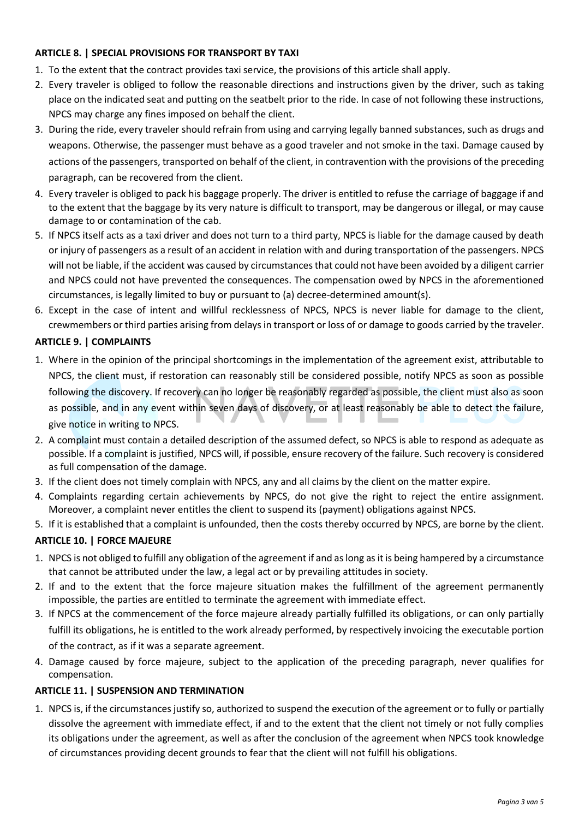#### **ARTICLE 8. | SPECIAL PROVISIONS FOR TRANSPORT BY TAXI**

- 1. To the extent that the contract provides taxi service, the provisions of this article shall apply.
- 2. Every traveler is obliged to follow the reasonable directions and instructions given by the driver, such as taking place on the indicated seat and putting on the seatbelt prior to the ride. In case of not following these instructions, NPCS may charge any fines imposed on behalf the client.
- 3. During the ride, every traveler should refrain from using and carrying legally banned substances, such as drugs and weapons. Otherwise, the passenger must behave as a good traveler and not smoke in the taxi. Damage caused by actions of the passengers, transported on behalf of the client, in contravention with the provisions of the preceding paragraph, can be recovered from the client.
- 4. Every traveler is obliged to pack his baggage properly. The driver is entitled to refuse the carriage of baggage if and to the extent that the baggage by its very nature is difficult to transport, may be dangerous or illegal, or may cause damage to or contamination of the cab.
- 5. If NPCS itself acts as a taxi driver and does not turn to a third party, NPCS is liable for the damage caused by death or injury of passengers as a result of an accident in relation with and during transportation of the passengers. NPCS will not be liable, if the accident was caused by circumstances that could not have been avoided by a diligent carrier and NPCS could not have prevented the consequences. The compensation owed by NPCS in the aforementioned circumstances, is legally limited to buy or pursuant to (a) decree-determined amount(s).
- 6. Except in the case of intent and willful recklessness of NPCS, NPCS is never liable for damage to the client, crewmembers or third parties arising from delays in transport or loss of or damage to goods carried by the traveler.

#### **ARTICLE 9. | COMPLAINTS**

- 1. Where in the opinion of the principal shortcomings in the implementation of the agreement exist, attributable to NPCS, the client must, if restoration can reasonably still be considered possible, notify NPCS as soon as possible following the discovery. If recovery can no longer be reasonably regarded as possible, the client must also as soon as possible, and in any event within seven days of discovery, or at least reasonably be able to detect the failure, give notice in writing to NPCS.
- 2. A complaint must contain a detailed description of the assumed defect, so NPCS is able to respond as adequate as possible. If a complaint is justified, NPCS will, if possible, ensure recovery of the failure. Such recovery is considered as full compensation of the damage.
- 3. If the client does not timely complain with NPCS, any and all claims by the client on the matter expire.
- 4. Complaints regarding certain achievements by NPCS, do not give the right to reject the entire assignment. Moreover, a complaint never entitles the client to suspend its (payment) obligations against NPCS.
- 5. If it is established that a complaint is unfounded, then the costs thereby occurred by NPCS, are borne by the client.

#### **ARTICLE 10. | FORCE MAJEURE**

- 1. NPCS is not obliged to fulfill any obligation of the agreement if and as long as it is being hampered by a circumstance that cannot be attributed under the law, a legal act or by prevailing attitudes in society.
- 2. If and to the extent that the force majeure situation makes the fulfillment of the agreement permanently impossible, the parties are entitled to terminate the agreement with immediate effect.
- 3. If NPCS at the commencement of the force majeure already partially fulfilled its obligations, or can only partially fulfill its obligations, he is entitled to the work already performed, by respectively invoicing the executable portion of the contract, as if it was a separate agreement.
- 4. Damage caused by force majeure, subject to the application of the preceding paragraph, never qualifies for compensation.

#### **ARTICLE 11. | SUSPENSION AND TERMINATION**

1. NPCS is, if the circumstances justify so, authorized to suspend the execution of the agreement or to fully or partially dissolve the agreement with immediate effect, if and to the extent that the client not timely or not fully complies its obligations under the agreement, as well as after the conclusion of the agreement when NPCS took knowledge of circumstances providing decent grounds to fear that the client will not fulfill his obligations.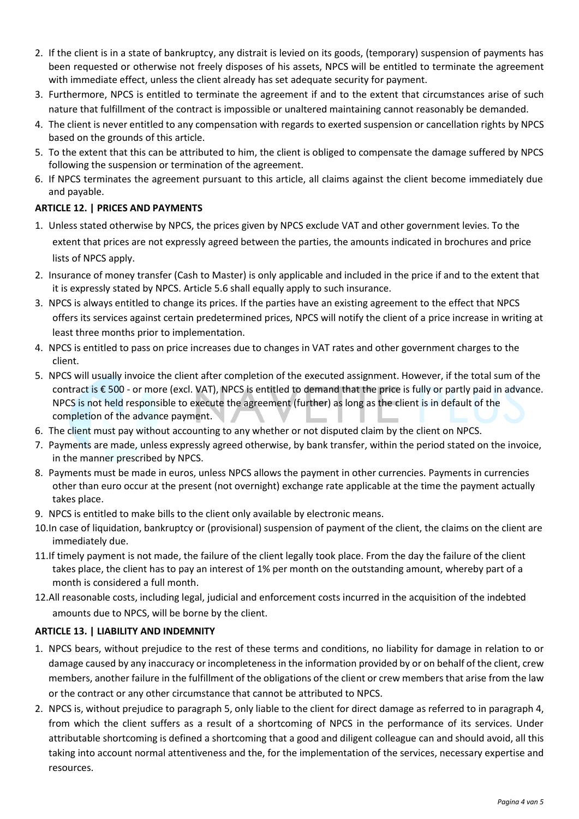- 2. If the client is in a state of bankruptcy, any distrait is levied on its goods, (temporary) suspension of payments has been requested or otherwise not freely disposes of his assets, NPCS will be entitled to terminate the agreement with immediate effect, unless the client already has set adequate security for payment.
- 3. Furthermore, NPCS is entitled to terminate the agreement if and to the extent that circumstances arise of such nature that fulfillment of the contract is impossible or unaltered maintaining cannot reasonably be demanded.
- 4. The client is never entitled to any compensation with regards to exerted suspension or cancellation rights by NPCS based on the grounds of this article.
- 5. To the extent that this can be attributed to him, the client is obliged to compensate the damage suffered by NPCS following the suspension or termination of the agreement.
- 6. If NPCS terminates the agreement pursuant to this article, all claims against the client become immediately due and payable.

#### **ARTICLE 12. | PRICES AND PAYMENTS**

- 1. Unless stated otherwise by NPCS, the prices given by NPCS exclude VAT and other government levies. To the extent that prices are not expressly agreed between the parties, the amounts indicated in brochures and price lists of NPCS apply.
- 2. Insurance of money transfer (Cash to Master) is only applicable and included in the price if and to the extent that it is expressly stated by NPCS. Article 5.6 shall equally apply to such insurance.
- 3. NPCS is always entitled to change its prices. If the parties have an existing agreement to the effect that NPCS offers its services against certain predetermined prices, NPCS will notify the client of a price increase in writing at least three months prior to implementation.
- 4. NPCS is entitled to pass on price increases due to changes in VAT rates and other government charges to the client.
- 5. NPCS will usually invoice the client after completion of the executed assignment. However, if the total sum of the contract is € 500 - or more (excl. VAT), NPCS is entitled to demand that the price is fully or partly paid in advance. NPCS is not held responsible to execute the agreement (further) as long as the client is in default of the completion of the advance payment.
- 6. The client must pay without accounting to any whether or not disputed claim by the client on NPCS.
- 7. Payments are made, unless expressly agreed otherwise, by bank transfer, within the period stated on the invoice, in the manner prescribed by NPCS.
- 8. Payments must be made in euros, unless NPCS allows the payment in other currencies. Payments in currencies other than euro occur at the present (not overnight) exchange rate applicable at the time the payment actually takes place.
- 9. NPCS is entitled to make bills to the client only available by electronic means.
- 10.In case of liquidation, bankruptcy or (provisional) suspension of payment of the client, the claims on the client are immediately due.
- 11.If timely payment is not made, the failure of the client legally took place. From the day the failure of the client takes place, the client has to pay an interest of 1% per month on the outstanding amount, whereby part of a month is considered a full month.
- 12.All reasonable costs, including legal, judicial and enforcement costs incurred in the acquisition of the indebted amounts due to NPCS, will be borne by the client.

#### **ARTICLE 13. | LIABILITY AND INDEMNITY**

- 1. NPCS bears, without prejudice to the rest of these terms and conditions, no liability for damage in relation to or damage caused by any inaccuracy or incompleteness in the information provided by or on behalf of the client, crew members, another failure in the fulfillment of the obligations of the client or crew members that arise from the law or the contract or any other circumstance that cannot be attributed to NPCS.
- 2. NPCS is, without prejudice to paragraph 5, only liable to the client for direct damage as referred to in paragraph 4, from which the client suffers as a result of a shortcoming of NPCS in the performance of its services. Under attributable shortcoming is defined a shortcoming that a good and diligent colleague can and should avoid, all this taking into account normal attentiveness and the, for the implementation of the services, necessary expertise and resources.